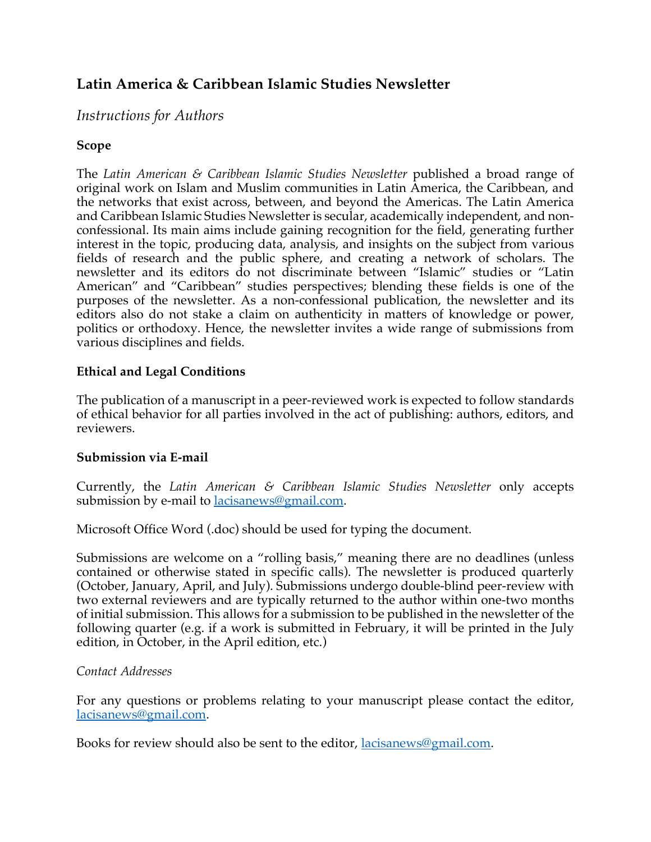# **Latin America & Caribbean Islamic Studies Newsletter**

## *Instructions for Authors*

## **Scope**

The *Latin American & Caribbean Islamic Studies Newsletter* published a broad range of original work on Islam and Muslim communities in Latin America, the Caribbean, and the networks that exist across, between, and beyond the Americas. The Latin America and Caribbean Islamic Studies Newsletter is secular, academically independent, and nonconfessional. Its main aims include gaining recognition for the field, generating further interest in the topic, producing data, analysis, and insights on the subject from various fields of research and the public sphere, and creating a network of scholars. The newsletter and its editors do not discriminate between "Islamic" studies or "Latin American" and "Caribbean" studies perspectives; blending these fields is one of the purposes of the newsletter. As a non-confessional publication, the newsletter and its editors also do not stake a claim on authenticity in matters of knowledge or power, politics or orthodoxy. Hence, the newsletter invites a wide range of submissions from various disciplines and fields.

### **Ethical and Legal Conditions**

The publication of a manuscript in a peer-reviewed work is expected to follow standards of ethical behavior for all parties involved in the act of publishing: authors, editors, and reviewers.

### **Submission via E-mail**

Currently, the *Latin American & Caribbean Islamic Studies Newsletter* only accepts submission by e-mail to **lacisanews@gmail.com**.

Microsoft Office Word (.doc) should be used for typing the document.

Submissions are welcome on a "rolling basis," meaning there are no deadlines (unless contained or otherwise stated in specific calls). The newsletter is produced quarterly (October, January, April, and July). Submissions undergo double-blind peer-review with two external reviewers and are typically returned to the author within one-two months of initial submission. This allows for a submission to be published in the newsletter of the following quarter (e.g. if a work is submitted in February, it will be printed in the July edition, in October, in the April edition, etc.)

### *Contact Addresses*

For any questions or problems relating to your manuscript please contact the editor, lacisanews@gmail.com.

Books for review should also be sent to the editor, lacisanews@gmail.com.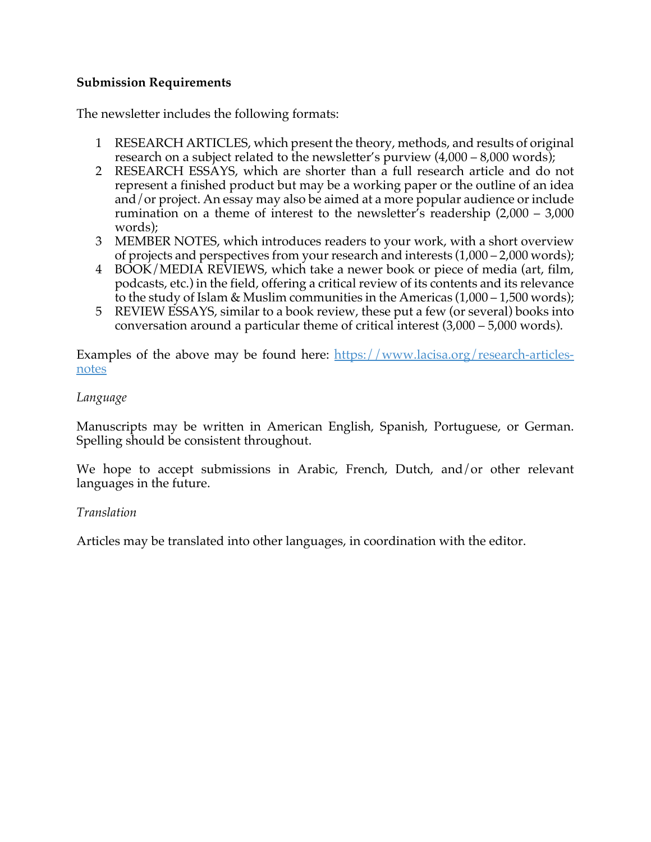### **Submission Requirements**

The newsletter includes the following formats:

- 1 RESEARCH ARTICLES, which present the theory, methods, and results of original research on a subject related to the newsletter's purview (4,000 – 8,000 words);
- 2 RESEARCH ESSAYS, which are shorter than a full research article and do not represent a finished product but may be a working paper or the outline of an idea and/or project. An essay may also be aimed at a more popular audience or include rumination on a theme of interest to the newsletter's readership (2,000 – 3,000 words);
- 3 MEMBER NOTES, which introduces readers to your work, with a short overview of projects and perspectives from your research and interests (1,000 – 2,000 words);
- 4 BOOK/MEDIA REVIEWS, which take a newer book or piece of media (art, film, podcasts, etc.) in the field, offering a critical review of its contents and its relevance to the study of Islam & Muslim communities in the Americas  $(1,000 - 1,500$  words);
- 5 REVIEW ESSAYS, similar to a book review, these put a few (or several) books into conversation around a particular theme of critical interest (3,000 – 5,000 words).

Examples of the above may be found here: https://www.lacisa.org/research-articlesnotes

### *Language*

Manuscripts may be written in American English, Spanish, Portuguese, or German. Spelling should be consistent throughout.

We hope to accept submissions in Arabic, French, Dutch, and/or other relevant languages in the future.

### *Translation*

Articles may be translated into other languages, in coordination with the editor.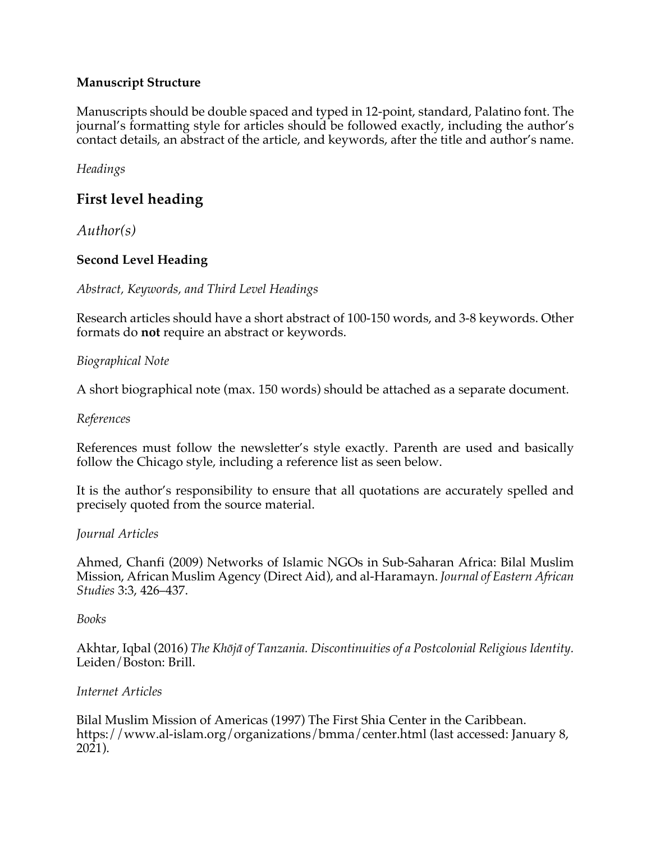## **Manuscript Structure**

Manuscripts should be double spaced and typed in 12-point, standard, Palatino font. The journal's formatting style for articles should be followed exactly, including the author's contact details, an abstract of the article, and keywords, after the title and author's name.

*Headings* 

## **First level heading**

*Author(s)*

## **Second Level Heading**

*Abstract, Keywords, and Third Level Headings*

Research articles should have a short abstract of 100-150 words, and 3-8 keywords. Other formats do **not** require an abstract or keywords.

### *Biographical Note*

A short biographical note (max. 150 words) should be attached as a separate document.

#### *References*

References must follow the newsletter's style exactly. Parenth are used and basically follow the Chicago style, including a reference list as seen below.

It is the author's responsibility to ensure that all quotations are accurately spelled and precisely quoted from the source material.

### *Journal Articles*

Ahmed, Chanfi (2009) Networks of Islamic NGOs in Sub-Saharan Africa: Bilal Muslim Mission, African Muslim Agency (Direct Aid), and al-Haramayn. *Journal of Eastern African Studies* 3:3, 426–437.

### *Books*

Akhtar, Iqbal (2016) *The Khōjā of Tanzania. Discontinuities of a Postcolonial Religious Identity.*  Leiden/Boston: Brill.

### *Internet Articles*

Bilal Muslim Mission of Americas (1997) The First Shia Center in the Caribbean. https://www.al-islam.org/organizations/bmma/center.html (last accessed: January 8,  $2021$ ).